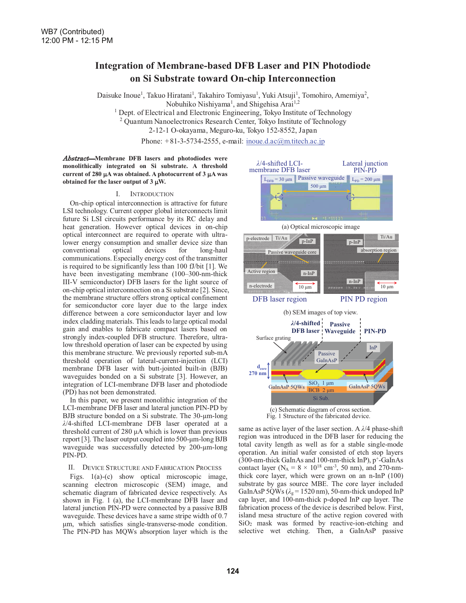# **Integration of Membrane-based DFB Laser and PIN Photodiode on Si Substrate toward On-chip Interconnection**

Daisuke Inoue<sup>1</sup>, Takuo Hiratani<sup>1</sup>, Takahiro Tomiyasu<sup>1</sup>, Yuki Atsuji<sup>1</sup>, Tomohiro, Amemiya<sup>2</sup>, Nobuhiko Nishiyama<sup>1</sup>, and Shigehisa Arai<sup>1,2</sup>

<sup>1</sup> Dept. of Electrical and Electronic Engineering, Tokyo Institute of Technology <sup>2</sup> Quantum Nanoelectronics Research Center, Tokyo Institute of Technology

2-12-1 O-okayama, Meguro-ku, Tokyo 152-8552, Japan

Phone: +81-3-5734-2555, e-mail: inoue.d.ac@m.titech.ac.jp

Abstract-Membrane DFB lasers and photodiodes were **monolithically integrated on Si substrate. A threshold** current of 280  $\mu$ A was obtained. A photocurrent of 3  $\mu$ A was **obtained for the laser output of**  $3 \mu W$ **.** 

## I. INTRODUCTION

On-chip optical interconnection is attractive for future LSI technology. Current copper global interconnects limit future Si LSI circuits performance by its RC delay and heat generation. However optical devices in on-chip optical interconnect are required to operate with ultralower energy consumption and smaller device size than<br>conventional optical devices for long-haul conventional optical devices for long-haul communications. Especially energy cost of the transmitter is required to be significantly less than 100 fJ/bit [1]. We have been investigating membrane (100-300-nm-thick III-V semiconductor) DFB lasers for the light source of on-chip optical interconnection on a Si substrate [2]. Since, the membrane structure offers strong optical confinement for semiconductor core layer due to the large index difference between a core semiconductor layer and low index cladding materials. This leads to large optical modal gain and enables to fabricate compact lasers based on strongly index-coupled DFB structure. Therefore, ultralow threshold operation of laser can be expected by using this membrane structure. We previously reported sub-mA threshold operation of lateral-current-injection (LCI) membrane DFB laser with butt-jointed built-in (BJB) waveguides bonded on a Si substrate [3]. However, an integration of LCI-membrane DFB laser and photodiode (PD) has not been demonstrated.

In this paper, we present monolithic integration of the LCI-membrane DFB laser and lateral junction PIN-PD by BJB structure bonded on a Si substrate. The 30-um-long *Ȝ*/4-shifted LCI-membrane DFB laser operated at a threshold current of 280  $\mu$ A which is lower than previous report [3]. The laser output coupled into 500-µm-long BJB waveguide was successfully detected by 200-µm-long PIN-PD.

## II. DEVICE STRUCTURE AND FABRICATION PROCESS

Figs. 1(a)-(c) show optical microscopic image, scanning electron microscopic (SEM) image, and schematic diagram of fabricated device respectively. As shown in Fig. 1 (a), the LCI-membrane DFB laser and lateral junction PIN-PD were connected by a passive BJB waveguide. These devices have a same stripe width of 0.7  $µm$ , which satisfies single-transverse-mode condition. The PIN-PD has MQWs absorption layer which is the





same as active layer of the laser section. A  $\lambda$ /4 phase-shift region was introduced in the DFB laser for reducing the total cavity length as well as for a stable single-mode operation. An initial wafer consisted of etch stop layers (300-nm-thick GaInAs and 100-nm-thick InP),  $p^+$ -GaInAs contact layer ( $N_A = 8 \times 10^{18}$  cm<sup>-3</sup>, 50 nm), and 270-nmthick core layer, which were grown on an n-InP (100) substrate by gas source MBE. The core layer included GaInAsP 5QWs ( $\lambda_g$  = 1520 nm), 50-nm-thick undoped InP cap layer, and 100-nm-thick p-doped InP cap layer. The fabrication process of the device is described below. First, island mesa structure of the active region covered with SiO2 mask was formed by reactive-ion-etching and selective wet etching. Then, a GaInAsP passive